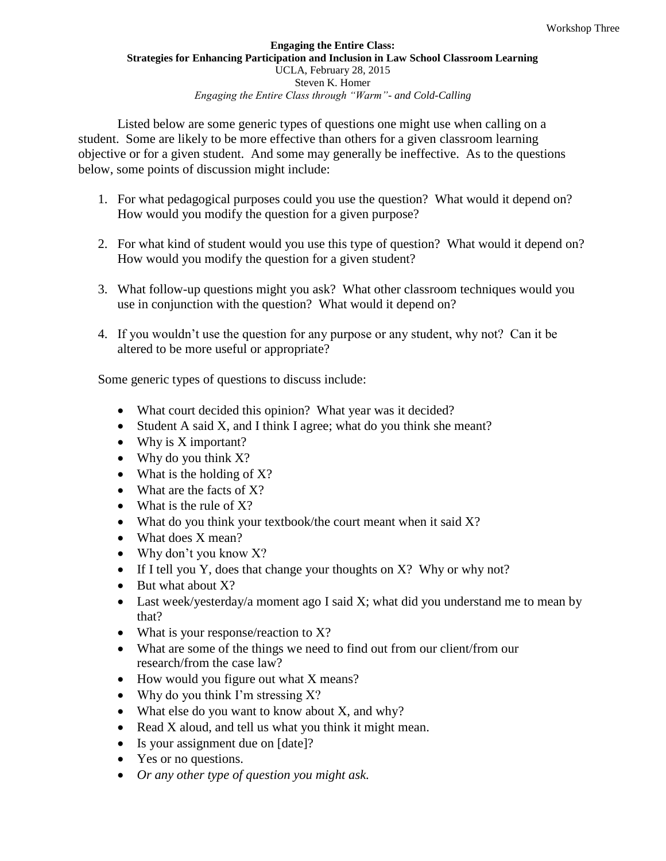## **Engaging the Entire Class: Strategies for Enhancing Participation and Inclusion in Law School Classroom Learning** UCLA, February 28, 2015 Steven K. Homer *Engaging the Entire Class through "Warm"- and Cold-Calling*

Listed below are some generic types of questions one might use when calling on a student. Some are likely to be more effective than others for a given classroom learning objective or for a given student. And some may generally be ineffective. As to the questions below, some points of discussion might include:

- 1. For what pedagogical purposes could you use the question? What would it depend on? How would you modify the question for a given purpose?
- 2. For what kind of student would you use this type of question? What would it depend on? How would you modify the question for a given student?
- 3. What follow-up questions might you ask? What other classroom techniques would you use in conjunction with the question? What would it depend on?
- 4. If you wouldn't use the question for any purpose or any student, why not? Can it be altered to be more useful or appropriate?

Some generic types of questions to discuss include:

- What court decided this opinion? What year was it decided?
- Student A said X, and I think I agree; what do you think she meant?
- Why is X important?
- Why do you think X?
- What is the holding of  $X$ ?
- What are the facts of X?
- What is the rule of X?
- What do you think your textbook/the court meant when it said X?
- What does X mean?
- Why don't you know X?
- If I tell you Y, does that change your thoughts on  $X$ ? Why or why not?
- $\bullet$  But what about X?
- Last week/yesterday/a moment ago I said X; what did you understand me to mean by that?
- What is your response/reaction to X?
- What are some of the things we need to find out from our client/from our research/from the case law?
- How would you figure out what X means?
- Why do you think I'm stressing  $X$ ?
- What else do you want to know about X, and why?
- Read X aloud, and tell us what you think it might mean.
- Is your assignment due on [date]?
- Yes or no questions.
- *Or any other type of question you might ask.*